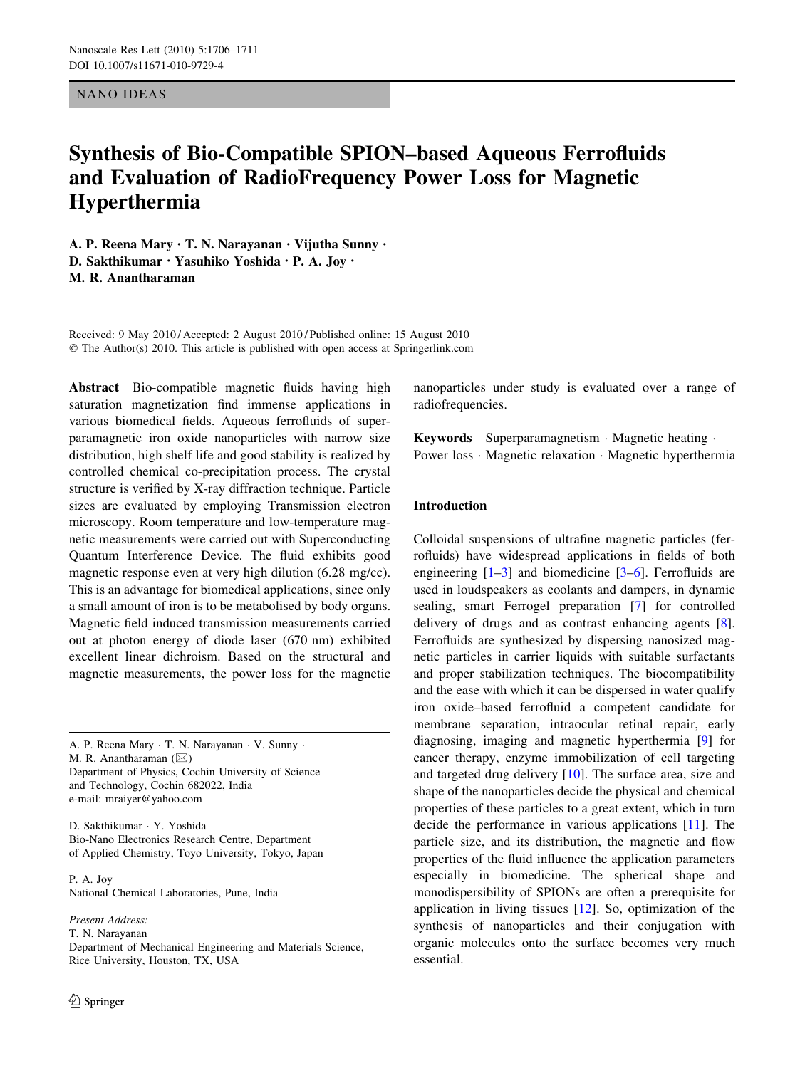# NANO IDEAS

# Synthesis of Bio-Compatible SPION–based Aqueous Ferrofluids and Evaluation of RadioFrequency Power Loss for Magnetic Hyperthermia

A. P. Reena Mary • T. N. Narayanan • Vijutha Sunny • D. Sakthikumar • Yasuhiko Yoshida • P. A. Joy • M. R. Anantharaman

Received: 9 May 2010 / Accepted: 2 August 2010 / Published online: 15 August 2010 © The Author(s) 2010. This article is published with open access at Springerlink.com

Abstract Bio-compatible magnetic fluids having high saturation magnetization find immense applications in various biomedical fields. Aqueous ferrofluids of superparamagnetic iron oxide nanoparticles with narrow size distribution, high shelf life and good stability is realized by controlled chemical co-precipitation process. The crystal structure is verified by X-ray diffraction technique. Particle sizes are evaluated by employing Transmission electron microscopy. Room temperature and low-temperature magnetic measurements were carried out with Superconducting Quantum Interference Device. The fluid exhibits good magnetic response even at very high dilution (6.28 mg/cc). This is an advantage for biomedical applications, since only a small amount of iron is to be metabolised by body organs. Magnetic field induced transmission measurements carried out at photon energy of diode laser (670 nm) exhibited excellent linear dichroism. Based on the structural and magnetic measurements, the power loss for the magnetic

A. P. Reena Mary · T. N. Narayanan · V. Sunny · M. R. Anantharaman  $(\boxtimes)$ Department of Physics, Cochin University of Science and Technology, Cochin 682022, India e-mail: mraiyer@yahoo.com

D. Sakthikumar - Y. Yoshida Bio-Nano Electronics Research Centre, Department of Applied Chemistry, Toyo University, Tokyo, Japan

P. A. Joy National Chemical Laboratories, Pune, India

Present Address: T. N. Narayanan Department of Mechanical Engineering and Materials Science, Rice University, Houston, TX, USA

nanoparticles under study is evaluated over a range of radiofrequencies.

Keywords Superparamagnetism · Magnetic heating · Power loss · Magnetic relaxation · Magnetic hyperthermia

# Introduction

Colloidal suspensions of ultrafine magnetic particles (ferrofluids) have widespread applications in fields of both engineering  $[1-3]$  and biomedicine  $[3-6]$ . Ferrofluids are used in loudspeakers as coolants and dampers, in dynamic sealing, smart Ferrogel preparation [[7\]](#page-5-0) for controlled delivery of drugs and as contrast enhancing agents [\[8](#page-5-0)]. Ferrofluids are synthesized by dispersing nanosized magnetic particles in carrier liquids with suitable surfactants and proper stabilization techniques. The biocompatibility and the ease with which it can be dispersed in water qualify iron oxide–based ferrofluid a competent candidate for membrane separation, intraocular retinal repair, early diagnosing, imaging and magnetic hyperthermia [\[9](#page-5-0)] for cancer therapy, enzyme immobilization of cell targeting and targeted drug delivery [[10\]](#page-5-0). The surface area, size and shape of the nanoparticles decide the physical and chemical properties of these particles to a great extent, which in turn decide the performance in various applications [[11\]](#page-5-0). The particle size, and its distribution, the magnetic and flow properties of the fluid influence the application parameters especially in biomedicine. The spherical shape and monodispersibility of SPIONs are often a prerequisite for application in living tissues [\[12](#page-5-0)]. So, optimization of the synthesis of nanoparticles and their conjugation with organic molecules onto the surface becomes very much essential.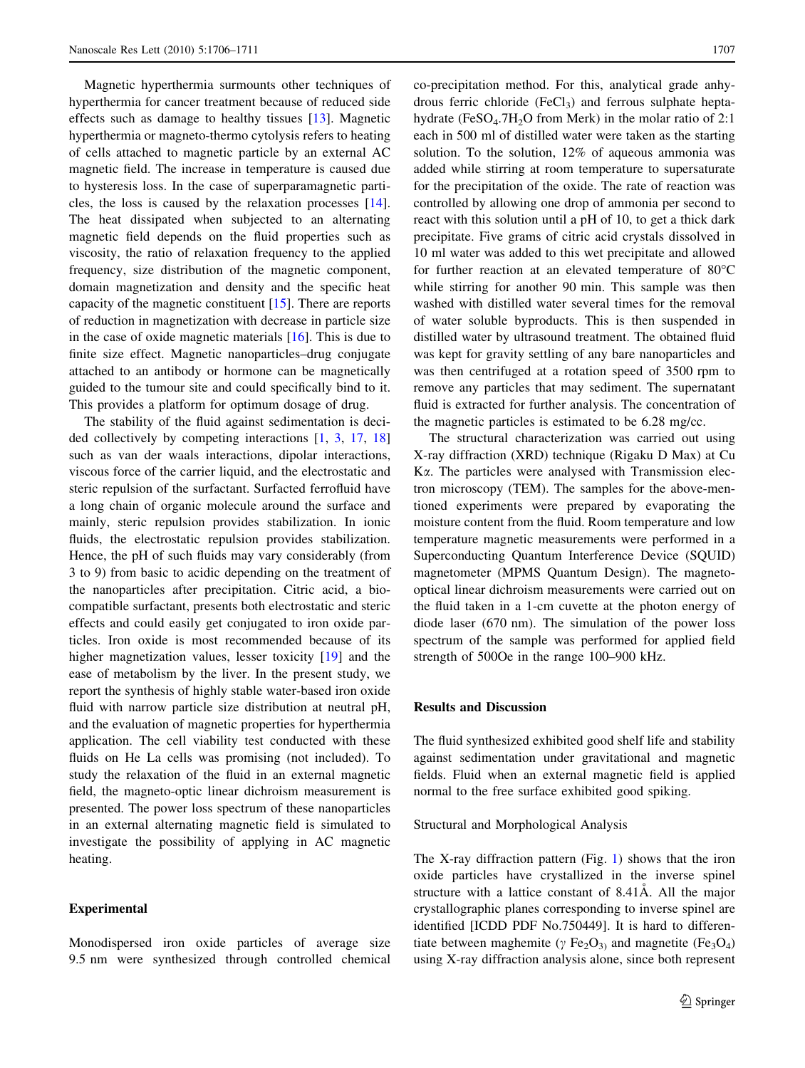Magnetic hyperthermia surmounts other techniques of hyperthermia for cancer treatment because of reduced side effects such as damage to healthy tissues [\[13](#page-5-0)]. Magnetic hyperthermia or magneto-thermo cytolysis refers to heating of cells attached to magnetic particle by an external AC magnetic field. The increase in temperature is caused due to hysteresis loss. In the case of superparamagnetic particles, the loss is caused by the relaxation processes [\[14](#page-5-0)]. The heat dissipated when subjected to an alternating magnetic field depends on the fluid properties such as viscosity, the ratio of relaxation frequency to the applied frequency, size distribution of the magnetic component, domain magnetization and density and the specific heat capacity of the magnetic constituent [\[15](#page-5-0)]. There are reports of reduction in magnetization with decrease in particle size in the case of oxide magnetic materials [\[16](#page-5-0)]. This is due to finite size effect. Magnetic nanoparticles–drug conjugate attached to an antibody or hormone can be magnetically guided to the tumour site and could specifically bind to it. This provides a platform for optimum dosage of drug.

The stability of the fluid against sedimentation is decided collectively by competing interactions [[1,](#page-5-0) [3](#page-5-0), [17](#page-5-0), [18\]](#page-5-0) such as van der waals interactions, dipolar interactions, viscous force of the carrier liquid, and the electrostatic and steric repulsion of the surfactant. Surfacted ferrofluid have a long chain of organic molecule around the surface and mainly, steric repulsion provides stabilization. In ionic fluids, the electrostatic repulsion provides stabilization. Hence, the pH of such fluids may vary considerably (from 3 to 9) from basic to acidic depending on the treatment of the nanoparticles after precipitation. Citric acid, a biocompatible surfactant, presents both electrostatic and steric effects and could easily get conjugated to iron oxide particles. Iron oxide is most recommended because of its higher magnetization values, lesser toxicity [\[19](#page-5-0)] and the ease of metabolism by the liver. In the present study, we report the synthesis of highly stable water-based iron oxide fluid with narrow particle size distribution at neutral pH, and the evaluation of magnetic properties for hyperthermia application. The cell viability test conducted with these fluids on He La cells was promising (not included). To study the relaxation of the fluid in an external magnetic field, the magneto-optic linear dichroism measurement is presented. The power loss spectrum of these nanoparticles in an external alternating magnetic field is simulated to investigate the possibility of applying in AC magnetic heating.

## Experimental

Monodispersed iron oxide particles of average size 9.5 nm were synthesized through controlled chemical co-precipitation method. For this, analytical grade anhydrous ferric chloride  $(FeCl<sub>3</sub>)$  and ferrous sulphate heptahydrate (FeSO<sub>4</sub>.7H<sub>2</sub>O from Merk) in the molar ratio of 2:1 each in 500 ml of distilled water were taken as the starting solution. To the solution, 12% of aqueous ammonia was added while stirring at room temperature to supersaturate for the precipitation of the oxide. The rate of reaction was controlled by allowing one drop of ammonia per second to react with this solution until a pH of 10, to get a thick dark precipitate. Five grams of citric acid crystals dissolved in 10 ml water was added to this wet precipitate and allowed for further reaction at an elevated temperature of  $80^{\circ}$ C while stirring for another 90 min. This sample was then washed with distilled water several times for the removal of water soluble byproducts. This is then suspended in distilled water by ultrasound treatment. The obtained fluid was kept for gravity settling of any bare nanoparticles and was then centrifuged at a rotation speed of 3500 rpm to remove any particles that may sediment. The supernatant fluid is extracted for further analysis. The concentration of the magnetic particles is estimated to be 6.28 mg/cc.

The structural characterization was carried out using X-ray diffraction (XRD) technique (Rigaku D Max) at Cu Ka. The particles were analysed with Transmission electron microscopy (TEM). The samples for the above-mentioned experiments were prepared by evaporating the moisture content from the fluid. Room temperature and low temperature magnetic measurements were performed in a Superconducting Quantum Interference Device (SQUID) magnetometer (MPMS Quantum Design). The magnetooptical linear dichroism measurements were carried out on the fluid taken in a 1-cm cuvette at the photon energy of diode laser (670 nm). The simulation of the power loss spectrum of the sample was performed for applied field strength of 500Oe in the range 100–900 kHz.

## Results and Discussion

The fluid synthesized exhibited good shelf life and stability against sedimentation under gravitational and magnetic fields. Fluid when an external magnetic field is applied normal to the free surface exhibited good spiking.

## Structural and Morphological Analysis

The X-ray diffraction pattern (Fig. [1\)](#page-2-0) shows that the iron oxide particles have crystallized in the inverse spinel structure with a lattice constant of 8.41A. All the major crystallographic planes corresponding to inverse spinel are identified [ICDD PDF No.750449]. It is hard to differentiate between maghemite ( $\gamma$  Fe<sub>2</sub>O<sub>3</sub>) and magnetite (Fe<sub>3</sub>O<sub>4</sub>) using X-ray diffraction analysis alone, since both represent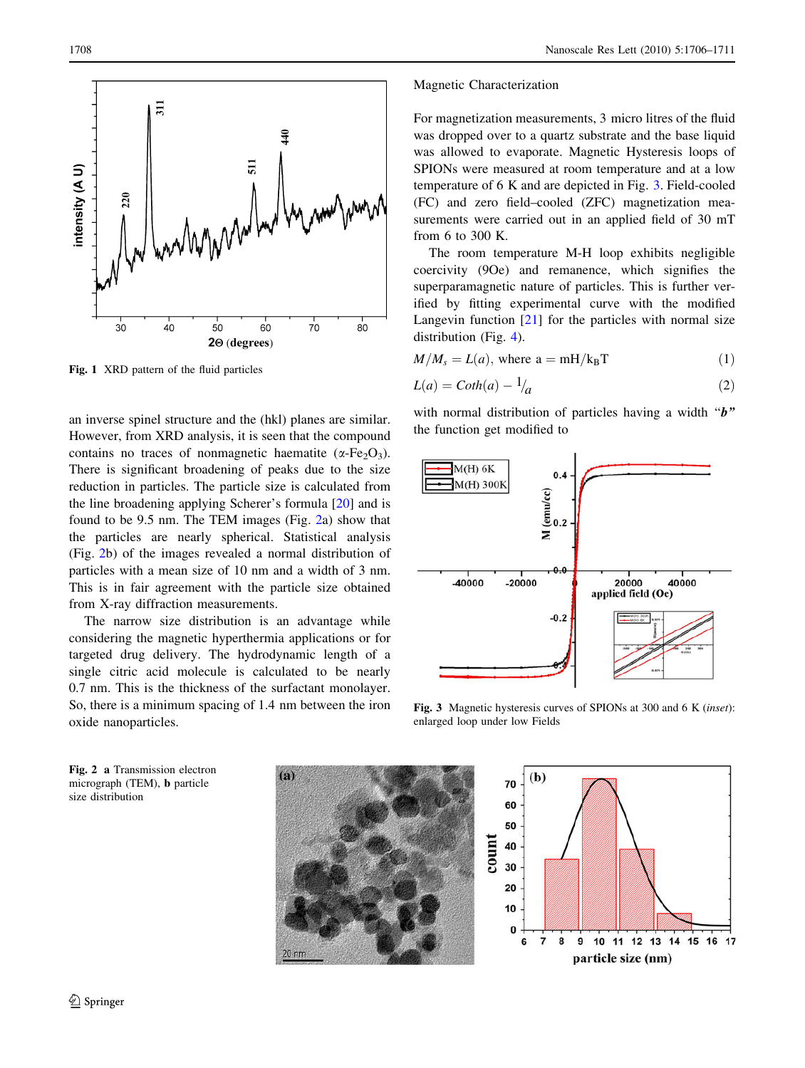<span id="page-2-0"></span>

Fig. 1 XRD pattern of the fluid particles

an inverse spinel structure and the (hkl) planes are similar. However, from XRD analysis, it is seen that the compound contains no traces of nonmagnetic haematite ( $\alpha$ -Fe<sub>2</sub>O<sub>3</sub>). There is significant broadening of peaks due to the size reduction in particles. The particle size is calculated from the line broadening applying Scherer's formula [[20\]](#page-5-0) and is found to be 9.5 nm. The TEM images (Fig. 2a) show that the particles are nearly spherical. Statistical analysis (Fig. 2b) of the images revealed a normal distribution of particles with a mean size of 10 nm and a width of 3 nm. This is in fair agreement with the particle size obtained from X-ray diffraction measurements.

The narrow size distribution is an advantage while considering the magnetic hyperthermia applications or for targeted drug delivery. The hydrodynamic length of a single citric acid molecule is calculated to be nearly 0.7 nm. This is the thickness of the surfactant monolayer. So, there is a minimum spacing of 1.4 nm between the iron oxide nanoparticles.

#### Magnetic Characterization

For magnetization measurements, 3 micro litres of the fluid was dropped over to a quartz substrate and the base liquid was allowed to evaporate. Magnetic Hysteresis loops of SPIONs were measured at room temperature and at a low temperature of 6 K and are depicted in Fig. 3. Field-cooled (FC) and zero field–cooled (ZFC) magnetization measurements were carried out in an applied field of 30 mT from 6 to 300 K.

The room temperature M-H loop exhibits negligible coercivity (9Oe) and remanence, which signifies the superparamagnetic nature of particles. This is further verified by fitting experimental curve with the modified Langevin function  $[21]$  $[21]$  for the particles with normal size distribution (Fig. [4](#page-3-0)).

$$
M/M_s = L(a), \text{ where } a = mH/k_B T \tag{1}
$$

$$
L(a) = \text{Coth}(a) - \frac{1}{a}
$$
 (2)

with normal distribution of particles having a width "b" the function get modified to



Fig. 3 Magnetic hysteresis curves of SPIONs at 300 and 6 K (inset): enlarged loop under low Fields

Fig. 2 a Transmission electron micrograph (TEM), b particle size distribution



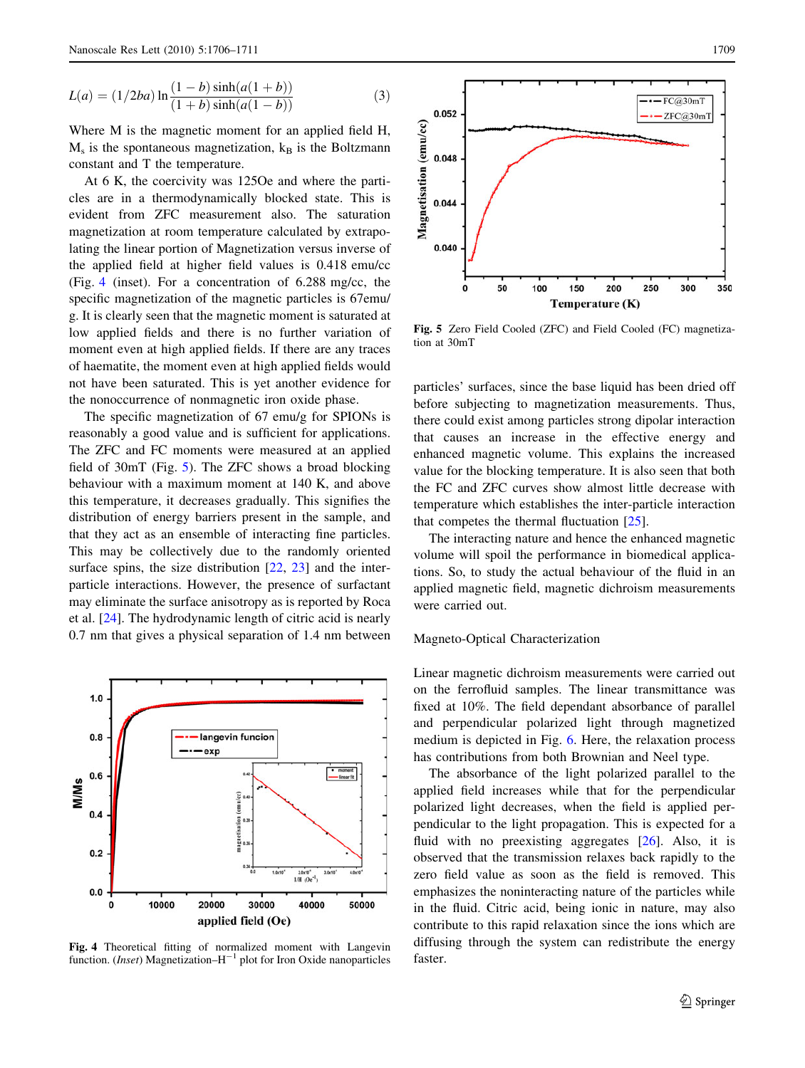<span id="page-3-0"></span>
$$
L(a) = (1/2ba) \ln \frac{(1-b)\sinh(a(1+b))}{(1+b)\sinh(a(1-b))}
$$
 (3)

Where M is the magnetic moment for an applied field H,  $M<sub>s</sub>$  is the spontaneous magnetization,  $k<sub>B</sub>$  is the Boltzmann constant and T the temperature.

At 6 K, the coercivity was 125Oe and where the particles are in a thermodynamically blocked state. This is evident from ZFC measurement also. The saturation magnetization at room temperature calculated by extrapolating the linear portion of Magnetization versus inverse of the applied field at higher field values is 0.418 emu/cc (Fig. 4 (inset). For a concentration of 6.288 mg/cc, the specific magnetization of the magnetic particles is 67emu/ g. It is clearly seen that the magnetic moment is saturated at low applied fields and there is no further variation of moment even at high applied fields. If there are any traces of haematite, the moment even at high applied fields would not have been saturated. This is yet another evidence for the nonoccurrence of nonmagnetic iron oxide phase.

The specific magnetization of 67 emu/g for SPIONs is reasonably a good value and is sufficient for applications. The ZFC and FC moments were measured at an applied field of 30mT (Fig. 5). The ZFC shows a broad blocking behaviour with a maximum moment at 140 K, and above this temperature, it decreases gradually. This signifies the distribution of energy barriers present in the sample, and that they act as an ensemble of interacting fine particles. This may be collectively due to the randomly oriented surface spins, the size distribution [[22](#page-5-0), [23\]](#page-5-0) and the interparticle interactions. However, the presence of surfactant may eliminate the surface anisotropy as is reported by Roca et al. [[24\]](#page-5-0). The hydrodynamic length of citric acid is nearly 0.7 nm that gives a physical separation of 1.4 nm between



Fig. 4 Theoretical fitting of normalized moment with Langevin function. (*Inset*) Magnetization– $H^{-1}$  plot for Iron Oxide nanoparticles



Fig. 5 Zero Field Cooled (ZFC) and Field Cooled (FC) magnetization at 30mT

particles' surfaces, since the base liquid has been dried off before subjecting to magnetization measurements. Thus, there could exist among particles strong dipolar interaction that causes an increase in the effective energy and enhanced magnetic volume. This explains the increased value for the blocking temperature. It is also seen that both the FC and ZFC curves show almost little decrease with temperature which establishes the inter-particle interaction that competes the thermal fluctuation [[25\]](#page-5-0).

The interacting nature and hence the enhanced magnetic volume will spoil the performance in biomedical applications. So, to study the actual behaviour of the fluid in an applied magnetic field, magnetic dichroism measurements were carried out.

## Magneto-Optical Characterization

Linear magnetic dichroism measurements were carried out on the ferrofluid samples. The linear transmittance was fixed at 10%. The field dependant absorbance of parallel and perpendicular polarized light through magnetized medium is depicted in Fig. [6.](#page-4-0) Here, the relaxation process has contributions from both Brownian and Neel type.

The absorbance of the light polarized parallel to the applied field increases while that for the perpendicular polarized light decreases, when the field is applied perpendicular to the light propagation. This is expected for a fluid with no preexisting aggregates [\[26](#page-5-0)]. Also, it is observed that the transmission relaxes back rapidly to the zero field value as soon as the field is removed. This emphasizes the noninteracting nature of the particles while in the fluid. Citric acid, being ionic in nature, may also contribute to this rapid relaxation since the ions which are diffusing through the system can redistribute the energy faster.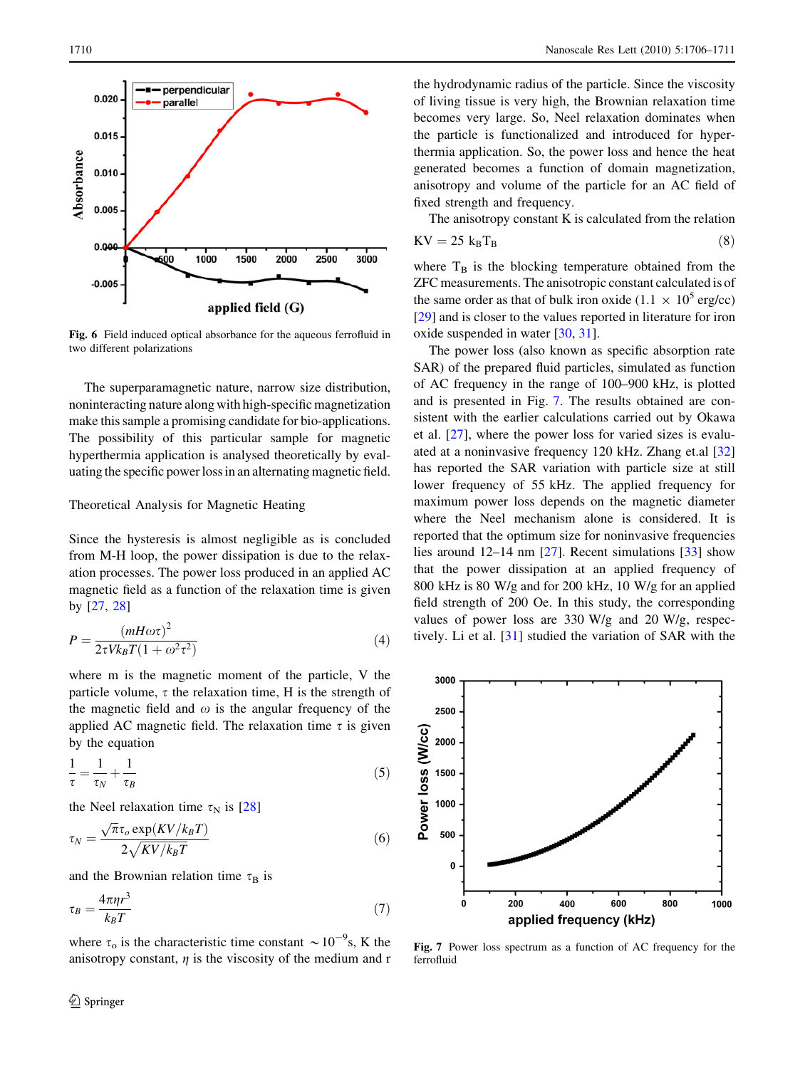<span id="page-4-0"></span>

Fig. 6 Field induced optical absorbance for the aqueous ferrofluid in two different polarizations

The superparamagnetic nature, narrow size distribution, noninteracting nature along with high-specific magnetization make this sample a promising candidate for bio-applications. The possibility of this particular sample for magnetic hyperthermia application is analysed theoretically by evaluating the specific power loss in an alternating magnetic field.

# Theoretical Analysis for Magnetic Heating

Since the hysteresis is almost negligible as is concluded from M-H loop, the power dissipation is due to the relaxation processes. The power loss produced in an applied AC magnetic field as a function of the relaxation time is given by [[27,](#page-5-0) [28](#page-5-0)]

$$
P = \frac{(mH\omega\tau)^2}{2\tau V k_B T (1 + \omega^2 \tau^2)}
$$
\n(4)

where m is the magnetic moment of the particle, V the particle volume,  $\tau$  the relaxation time, H is the strength of the magnetic field and  $\omega$  is the angular frequency of the applied AC magnetic field. The relaxation time  $\tau$  is given by the equation

$$
\frac{1}{\tau} = \frac{1}{\tau_N} + \frac{1}{\tau_B} \tag{5}
$$

the Neel relaxation time  $\tau_N$  is [[28\]](#page-5-0)

$$
\tau_N = \frac{\sqrt{\pi} \tau_o \exp(KV/k_B T)}{2\sqrt{KV/k_B T}}\tag{6}
$$

and the Brownian relation time  $\tau_B$  is

$$
\tau_B = \frac{4\pi\eta r^3}{k_B T} \tag{7}
$$

where  $\tau_0$  is the characteristic time constant  $\sim 10^{-9}$ s, K the anisotropy constant,  $\eta$  is the viscosity of the medium and r

the hydrodynamic radius of the particle. Since the viscosity of living tissue is very high, the Brownian relaxation time becomes very large. So, Neel relaxation dominates when the particle is functionalized and introduced for hyperthermia application. So, the power loss and hence the heat generated becomes a function of domain magnetization, anisotropy and volume of the particle for an AC field of fixed strength and frequency.

The anisotropy constant K is calculated from the relation  $KV = 25 k_B T_B$  (8)

where  $T<sub>B</sub>$  is the blocking temperature obtained from the ZFC measurements. The anisotropic constant calculated is of the same order as that of bulk iron oxide (1.1  $\times$  10<sup>5</sup> erg/cc) [\[29](#page-5-0)] and is closer to the values reported in literature for iron oxide suspended in water [\[30](#page-5-0), [31](#page-5-0)].

The power loss (also known as specific absorption rate SAR) of the prepared fluid particles, simulated as function of AC frequency in the range of 100–900 kHz, is plotted and is presented in Fig. 7. The results obtained are consistent with the earlier calculations carried out by Okawa et al. [\[27](#page-5-0)], where the power loss for varied sizes is evaluated at a noninvasive frequency 120 kHz. Zhang et.al [[32\]](#page-5-0) has reported the SAR variation with particle size at still lower frequency of 55 kHz. The applied frequency for maximum power loss depends on the magnetic diameter where the Neel mechanism alone is considered. It is reported that the optimum size for noninvasive frequencies lies around 12–14 nm [[27\]](#page-5-0). Recent simulations [\[33](#page-5-0)] show that the power dissipation at an applied frequency of 800 kHz is 80 W/g and for 200 kHz, 10 W/g for an applied field strength of 200 Oe. In this study, the corresponding values of power loss are 330 W/g and 20 W/g, respectively. Li et al. [[31\]](#page-5-0) studied the variation of SAR with the



Fig. 7 Power loss spectrum as a function of AC frequency for the ferrofluid